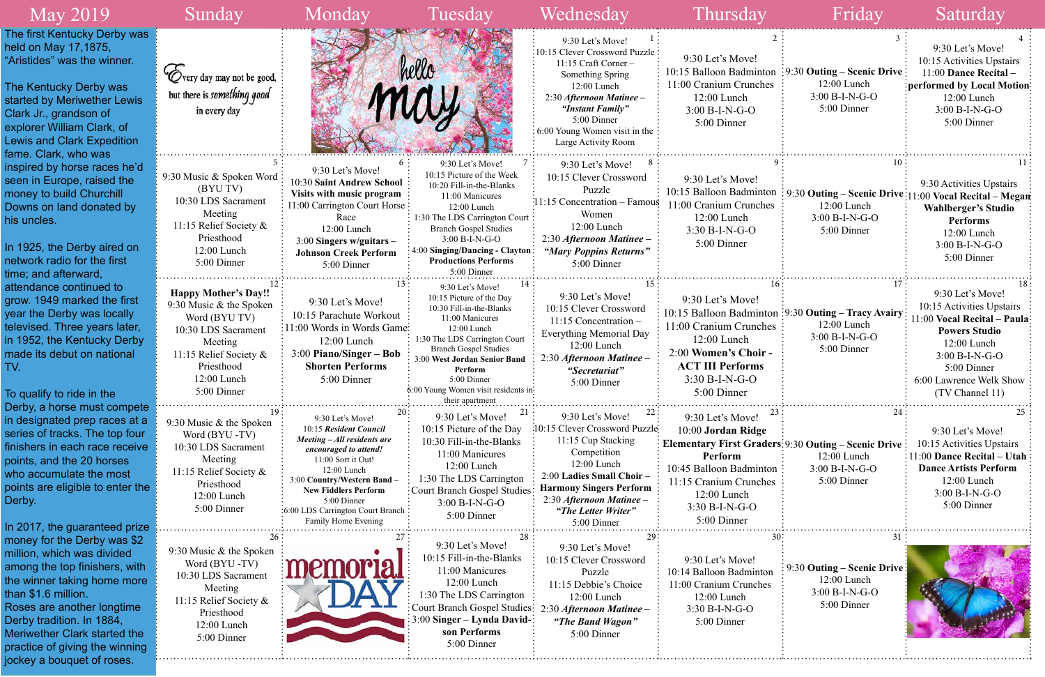| <b>May 2019</b>                                                                                                                                                                                                                                                                                                    | Sunday                                                                                                                                                                          | Monday                                                                                                                                                                                                                                                                           | Tuesday                                                                                                                                                                                                                                                                                          | Wednesday                                                                                                                                                                                                                                       | Thursday                                                                                                                                                                                                       | Friday                                                                                                   | Saturday                                                                                                                                                                                                        |
|--------------------------------------------------------------------------------------------------------------------------------------------------------------------------------------------------------------------------------------------------------------------------------------------------------------------|---------------------------------------------------------------------------------------------------------------------------------------------------------------------------------|----------------------------------------------------------------------------------------------------------------------------------------------------------------------------------------------------------------------------------------------------------------------------------|--------------------------------------------------------------------------------------------------------------------------------------------------------------------------------------------------------------------------------------------------------------------------------------------------|-------------------------------------------------------------------------------------------------------------------------------------------------------------------------------------------------------------------------------------------------|----------------------------------------------------------------------------------------------------------------------------------------------------------------------------------------------------------------|----------------------------------------------------------------------------------------------------------|-----------------------------------------------------------------------------------------------------------------------------------------------------------------------------------------------------------------|
| The first Kentucky Derby was<br>held on May 17,1875,<br>"Aristides" was the winner.<br>The Kentucky Derby was<br>started by Meriwether Lewis<br>Clark Jr., grandson of<br>explorer William Clark, of<br><b>Lewis and Clark Expedition</b><br>fame. Clark, who was                                                  | Very day may not be good,<br>but there is something good<br>in every day                                                                                                        |                                                                                                                                                                                                                                                                                  | hello                                                                                                                                                                                                                                                                                            | 9:30 Let's Move!<br>:10:15 Clever Crossword Puzzle<br>$11:15$ Craft Corner -<br>Something Spring<br>$12:00$ Lunch<br>2:30 Afternoon Matinee -<br>"Instant Family"<br>5:00 Dinner<br>$\div 6.00$ Young Women visit in the<br>Large Activity Room | 9:30 Let's Move!<br>10:15 Balloon Badminton<br>11:00 Cranium Crunches<br>12:00 Lunch<br>$3:00 B-I-N-G-O$<br>5:00 Dinner                                                                                        | $\frac{1}{2}$ 9:30 Outing – Scenic Drive<br>$12:00$ Lunch<br>$3:00 B-I-N-G-O$<br>5:00 Dinner             | 9:30 Let's Move!<br>10:15 Activities Upstairs<br>11:00 Dance Recital-<br>performed by Local Motion:<br>$12:00$ Lunch<br>$3:00 B-I-N-G-O$<br>5:00 Dinner                                                         |
| inspired by horse races he'd<br>seen in Europe, raised the<br>money to build Churchill<br>Downs on land donated by<br>his uncles.<br>In 1925, the Derby aired on<br>network radio for the first<br>time; and afterward,                                                                                            | 9:30 Music & Spoken Word<br>(BYU TV)<br>10:30 LDS Sacrament<br>Meeting<br>11:15 Relief Society &<br>Priesthood<br>12:00 Lunch<br>5:00 Dinner                                    | 9:30 Let's Move!<br>10:30 Saint Andrew School<br>Visits with music program<br>11:00 Carrington Court Horse<br>Race<br>12:00 Lunch<br>$3:00$ Singers w/guitars –<br><b>Johnson Creek Perform</b><br>5:00 Dinner                                                                   | 9:30 Let's Move!<br>10:15 Picture of the Week<br>10:20 Fill-in-the-Blanks<br>11:00 Manicures<br>12:00 Lunch<br>1:30 The LDS Carrington Court<br><b>Branch Gospel Studies</b><br>3:00 B-I-N-G-O<br>: 4:00 Singing/Dancing - Clayton<br><b>Productions Performs</b><br>5:00 Dinner                 | 9:30 Let's Move!<br>10:15 Clever Crossword<br>Puzzle<br>11:15 Concentration – Famous<br>Women<br>$12:00$ Lunch<br>2:30 Afternoon Matinee -<br>"Mary Poppins Returns"<br>5:00 Dinner                                                             | 9:30 Let's Move!<br>11:00 Cranium Crunches<br>12:00 Lunch<br>3:30 B-I-N-G-O<br>5:00 Dinner                                                                                                                     | $12:00$ Lunch<br>$3:00 B-I-N-G-O$<br>5:00 Dinner                                                         | 9:30 Activities Upstairs<br>10:15 Balloon Badminton: 9:30 Outing - Scenic Drive: 11:00 Vocal Recital - Megan<br><b>Wahlberger's Studio</b><br><b>Performs</b><br>12:00 Lunch<br>$3:00 B-I-N-G-O$<br>5:00 Dinner |
| attendance continued to<br>grow. 1949 marked the first<br>year the Derby was locally<br>televised. Three years later,<br>in 1952, the Kentucky Derby<br>made its debut on national<br>TV.<br>To qualify to ride in the                                                                                             | <b>Happy Mother's Day!!</b><br>9:30 Music & the Spoken<br>Word (BYU TV)<br>10:30 LDS Sacrament<br>Meeting<br>11:15 Relief Society &<br>Priesthood<br>12:00 Lunch<br>5:00 Dinner | 9:30 Let's Move!<br>10:15 Parachute Workout<br>11:00 Words in Words Game:<br>$12:00$ Lunch<br>$3:00$ Piano/Singer – Bob<br><b>Shorten Performs</b><br>5:00 Dinner                                                                                                                | 9:30 Let's Move!<br>10:15 Picture of the Day<br>10:30 Fill-in-the-Blanks<br>11:00 Manicures<br>12:00 Lunch<br>1:30 The LDS Carrington Court<br><b>Branch Gospel Studies</b><br>3:00 West Jordan Senior Band<br>Perform<br>5:00 Dinner<br>6:00 Young Women visit residents in:<br>their apartment | 9:30 Let's Move!<br>10:15 Clever Crossword<br>11:15 Concentration -<br><b>Everything Memorial Day</b><br>$12:00$ Lunch<br>2:30 Afternoon Matinee -<br>"Secretariat"<br>5:00 Dinner                                                              | 9:30 Let's Move!<br>11:00 Cranium Crunches<br>12:00 Lunch<br>2:00 Women's Choir -<br><b>ACT III Performs</b><br>3:30 B-I-N-G-O<br>5:00 Dinner                                                                  | 10:15 Balloon Badminton :9:30 Outing - Tracy Avairy:<br>$12:00$ Lunch<br>$3:00 B-I-N-G-O$<br>5:00 Dinner | 9:30 Let's Move!<br>10:15 Activities Upstairs<br>11:00 Vocal Recital - Paula:<br><b>Powers Studio</b><br>$12:00$ Lunch<br>$3:00 B-I-N-G-O$<br>5:00 Dinner<br>6:00 Lawrence Welk Show<br>(TV Channel 11)         |
| Derby, a horse must compete<br>in designated prep races at a<br>series of tracks. The top four<br>finishers in each race receive<br>points, and the 20 horses<br>who accumulate the most<br>points are eligible to enter the<br>Derby.<br>In 2017, the guaranteed prize                                            | 9:30 Music & the Spoken<br>Word (BYU-TV)<br>10:30 LDS Sacrament<br>Meeting<br>11:15 Relief Society &<br>Priesthood<br>12:00 Lunch<br>5:00 Dinner                                | 9:30 Let's Move!<br>10:15 Resident Council<br>Meeting - All residents are<br>encouraged to attend!<br>11:00 Sort it Out!<br>12:00 Lunch<br>3:00 Country/Western Band -<br><b>New Fiddlers Perform</b><br>5:00 Dinner<br>:6:00 LDS Carrington Court Branch<br>Family Home Evening | 9:30 Let's Move!<br>10:15 Picture of the Day<br>10:30 Fill-in-the-Blanks<br>11:00 Manicures<br>12:00 Lunch<br>1:30 The LDS Carrington<br>: Court Branch Gospel Studies<br>3:00 B-I-N-G-O<br>5:00 Dinner                                                                                          | 9:30 Let's Move!<br>10:15 Clever Crossword Puzzle:<br>11:15 Cup Stacking<br>Competition<br>12:00 Lunch<br>2:00 Ladies Small Choir-<br><b>Harmony Singers Perform</b><br>2:30 Afternoon Matinee -<br>"The Letter Writer"<br>5:00 Dinner          | 9:30 Let's Move!<br>10:00 Jordan Ridge<br>Elementary First Graders: 9:30 Outing - Scenic Drive<br>Perform<br>10:45 Balloon Badminton<br>11:15 Cranium Crunches<br>12:00 Lunch<br>3:30 B-I-N-G-O<br>5:00 Dinner | 12:00 Lunch<br>3:00 B-I-N-G-O<br>5:00 Dinner                                                             | 9:30 Let's Move!<br>10:15 Activities Upstairs<br>$11:00$ Dance Recital – Utah<br><b>Dance Artists Perform</b><br>12:00 Lunch<br>$3:00 B-I-N-G-O$<br>5:00 Dinner                                                 |
| money for the Derby was \$2<br>million, which was divided<br>among the top finishers, with<br>the winner taking home more<br>than \$1.6 million.<br>Roses are another longtime<br>Derby tradition. In 1884,<br><b>Meriwether Clark started the</b><br>practice of giving the winning<br>jockey a bouquet of roses. | 9:30 Music & the Spoken<br>Word (BYU-TV)<br>10:30 LDS Sacrament<br>Meeting<br>11:15 Relief Society &<br>Priesthood<br>12:00 Lunch<br>5:00 Dinner                                |                                                                                                                                                                                                                                                                                  | 28<br>9:30 Let's Move!<br>10:15 Fill-in-the-Blanks<br>11:00 Manicures<br>12:00 Lunch<br>1:30 The LDS Carrington<br>Court Branch Gospel Studies:<br>3:00 Singer – Lynda David-:<br>son Performs<br>5:00 Dinner                                                                                    | 9:30 Let's Move!<br>10:15 Clever Crossword<br>Puzzle<br>11:15 Debbie's Choice<br>12:00 Lunch<br>Afternoon Matinee -<br>2.30<br>"The Band Wagon"<br>5:00 Dinner                                                                                  | 9:30 Let's Move!<br>10:14 Balloon Badminton<br>11:00 Cranium Crunches<br>12:00 Lunch<br>3:30 B-I-N-G-O<br>5:00 Dinner                                                                                          | 9:30 Outing – Scenic Drive:<br>12:00 Lunch<br>3:00 B-I-N-G-O<br>5:00 Dinner                              |                                                                                                                                                                                                                 |